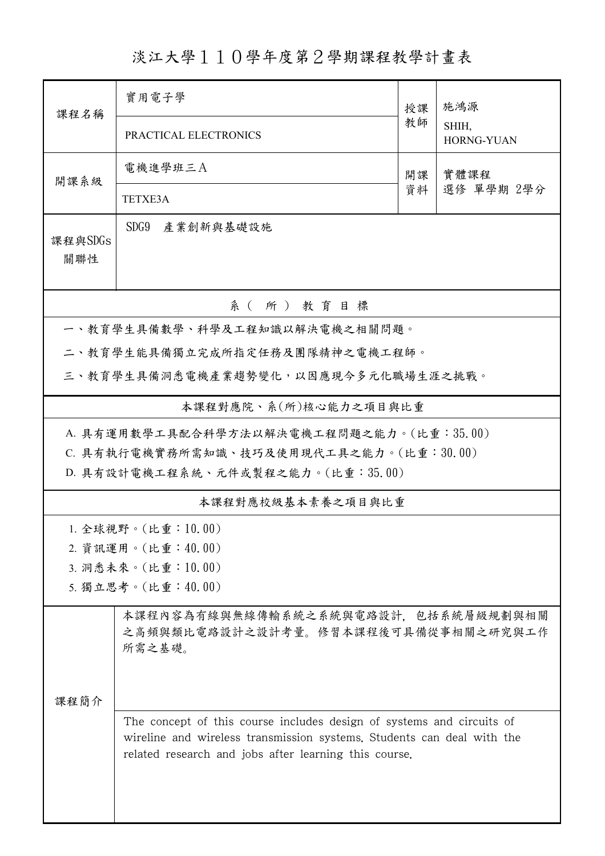## 淡江大學110學年度第2學期課程教學計畫表

| 课程名稱                                     | 實用電子學                                                                                                                                                                                                    | 授課       | 施鴻源<br>SHIH,<br><b>HORNG-YUAN</b> |  |  |  |  |
|------------------------------------------|----------------------------------------------------------------------------------------------------------------------------------------------------------------------------------------------------------|----------|-----------------------------------|--|--|--|--|
|                                          | PRACTICAL ELECTRONICS                                                                                                                                                                                    | 教師       |                                   |  |  |  |  |
| 開課系級                                     | 電機進學班三A                                                                                                                                                                                                  | 開課<br>資料 | 實體課程<br>選修 單學期 2學分                |  |  |  |  |
|                                          | <b>TETXE3A</b>                                                                                                                                                                                           |          |                                   |  |  |  |  |
| 課程與SDGs<br>關聯性                           | SDG9<br>產業創新與基礎設施                                                                                                                                                                                        |          |                                   |  |  |  |  |
| 系(所)教育目標                                 |                                                                                                                                                                                                          |          |                                   |  |  |  |  |
| 一、教育學生具備數學、科學及工程知識以解決電機之相關問題。            |                                                                                                                                                                                                          |          |                                   |  |  |  |  |
| 二、教育學生能具備獨立完成所指定任務及團隊精神之電機工程師。           |                                                                                                                                                                                                          |          |                                   |  |  |  |  |
|                                          | 三、教育學生具備洞悉電機產業趨勢變化,以因應現今多元化職場生涯之挑戰。                                                                                                                                                                      |          |                                   |  |  |  |  |
| 本課程對應院、系(所)核心能力之項目與比重                    |                                                                                                                                                                                                          |          |                                   |  |  |  |  |
| A. 具有運用數學工具配合科學方法以解決電機工程問題之能力。(比重:35.00) |                                                                                                                                                                                                          |          |                                   |  |  |  |  |
|                                          | C. 具有執行電機實務所需知識、技巧及使用現代工具之能力。(比重:30.00)                                                                                                                                                                  |          |                                   |  |  |  |  |
| D. 具有設計電機工程系統、元件或製程之能力。(比重:35.00)        |                                                                                                                                                                                                          |          |                                   |  |  |  |  |
| 本課程對應校級基本素養之項目與比重                        |                                                                                                                                                                                                          |          |                                   |  |  |  |  |
|                                          | 1. 全球視野。(比重: $10.00$ )                                                                                                                                                                                   |          |                                   |  |  |  |  |
|                                          | 2. 資訊運用。(比重:40.00)                                                                                                                                                                                       |          |                                   |  |  |  |  |
| 3. 洞悉未來。(比重:10.00)                       |                                                                                                                                                                                                          |          |                                   |  |  |  |  |
| 5. 獨立思考。(比重:40.00)                       |                                                                                                                                                                                                          |          |                                   |  |  |  |  |
|                                          | 本課程內容為有線與無線傳輸系統之系統與電路設計,包括系統層級規劃與相關<br>之高頻與類比電路設計之設計考量。修習本課程後可具備從事相關之研究與工作<br>所需之基礎。                                                                                                                     |          |                                   |  |  |  |  |
| 課程簡介                                     |                                                                                                                                                                                                          |          |                                   |  |  |  |  |
|                                          | The concept of this course includes design of systems and circuits of<br>wireline and wireless transmission systems. Students can deal with the<br>related research and jobs after learning this course. |          |                                   |  |  |  |  |
|                                          |                                                                                                                                                                                                          |          |                                   |  |  |  |  |

ı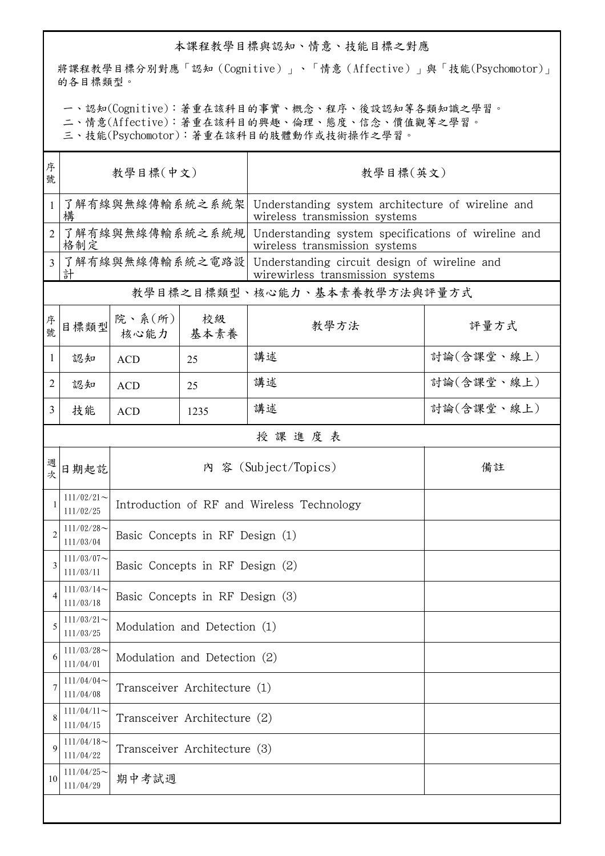## 本課程教學目標與認知、情意、技能目標之對應

將課程教學目標分別對應「認知(Cognitive)」、「情意(Affective)」與「技能(Psychomotor)」 的各目標類型。

一、認知(Cognitive):著重在該科目的事實、概念、程序、後設認知等各類知識之學習。

二、情意(Affective):著重在該科目的興趣、倫理、態度、信念、價值觀等之學習。

三、技能(Psychomotor):著重在該科目的肢體動作或技術操作之學習。

| 序<br>號         | 教學目標(中文)                     |                                            |            | 教學目標(英文)                                                                             |            |  |  |  |
|----------------|------------------------------|--------------------------------------------|------------|--------------------------------------------------------------------------------------|------------|--|--|--|
| $\mathbf{1}$   | 了解有線與無線傳輸系統之系統架<br>構         |                                            |            | Understanding system architecture of wireline and<br>wireless transmission systems   |            |  |  |  |
| 2              | 了解有線與無線傳輸系統之系統規<br>格制定       |                                            |            | Understanding system specifications of wireline and<br>wireless transmission systems |            |  |  |  |
| 3              | 了解有線與無線傳輸系統之電路設<br>計         |                                            |            | Understanding circuit design of wireline and<br>wirewirless transmission systems     |            |  |  |  |
|                | 教學目標之目標類型、核心能力、基本素養教學方法與評量方式 |                                            |            |                                                                                      |            |  |  |  |
| 序號             | 目標類型                         | 院、系 $(\text{m})$<br>核心能力                   | 校級<br>基本素養 | 教學方法                                                                                 | 評量方式       |  |  |  |
| $\mathbf{1}$   | 認知                           | <b>ACD</b>                                 | 25         | 講述                                                                                   | 討論(含課堂、線上) |  |  |  |
| 2              | 認知                           | <b>ACD</b>                                 | 25         | 講述                                                                                   | 討論(含課堂、線上) |  |  |  |
| 3              | 技能                           | <b>ACD</b>                                 | 1235       | 講述                                                                                   | 討論(含課堂、線上) |  |  |  |
|                | 授課進度表                        |                                            |            |                                                                                      |            |  |  |  |
| 週<br>女         | 日期起訖                         |                                            |            | 內 容 (Subject/Topics)                                                                 | 備註         |  |  |  |
|                | $111/02/21$ ~<br>111/02/25   | Introduction of RF and Wireless Technology |            |                                                                                      |            |  |  |  |
| $\overline{2}$ | $111/02/28$ ~<br>111/03/04   | Basic Concepts in RF Design (1)            |            |                                                                                      |            |  |  |  |
| 3              | $111/03/07$ ~<br>111/03/11   | Basic Concepts in RF Design (2)            |            |                                                                                      |            |  |  |  |
| 4              | $111/03/14$ ~<br>111/03/18   | Basic Concepts in RF Design (3)            |            |                                                                                      |            |  |  |  |
| 5              | $111/03/21$ ~<br>111/03/25   | Modulation and Detection (1)               |            |                                                                                      |            |  |  |  |
| 6              | $111/03/28$ ~<br>111/04/01   | Modulation and Detection (2)               |            |                                                                                      |            |  |  |  |
| 7              | $111/04/04$ ~<br>111/04/08   | Transceiver Architecture (1)               |            |                                                                                      |            |  |  |  |
| 8              | $111/04/11$ ~<br>111/04/15   | Transceiver Architecture (2)               |            |                                                                                      |            |  |  |  |
| 9              | $111/04/18$ ~<br>111/04/22   | Transceiver Architecture (3)               |            |                                                                                      |            |  |  |  |
| 10             | $111/04/25$ ~<br>111/04/29   | 期中考試週                                      |            |                                                                                      |            |  |  |  |
|                |                              |                                            |            |                                                                                      |            |  |  |  |